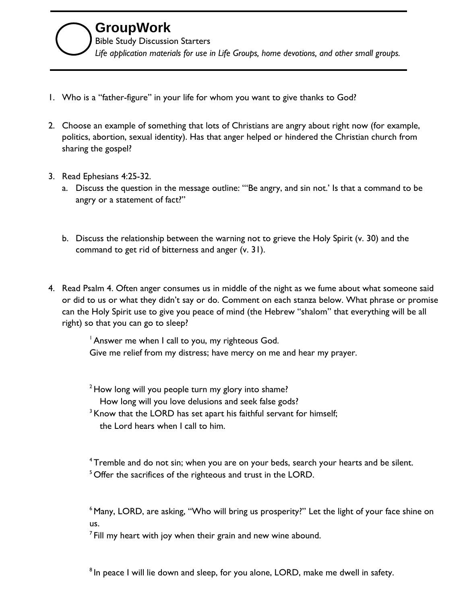- 1. Who is a "father-figure" in your life for whom you want to give thanks to God?
- 2. Choose an example of something that lots of Christians are angry about right now (for example, politics, abortion, sexual identity). Has that anger helped or hindered the Christian church from sharing the gospel?
- 3. Read Ephesians 4:25-32.
	- a. Discuss the question in the message outline: "'Be angry, and sin not.' Is that a command to be angry or a statement of fact?"
	- b. Discuss the relationship between the warning not to grieve the Holy Spirit (v. 30) and the command to get rid of bitterness and anger (v. 31).
- 4. Read Psalm 4. Often anger consumes us in middle of the night as we fume about what someone said or did to us or what they didn't say or do. Comment on each stanza below. What phrase or promise can the Holy Spirit use to give you peace of mind (the Hebrew "shalom" that everything will be all right) so that you can go to sleep?

<sup>1</sup> Answer me when I call to you, my righteous God. Give me relief from my distress; have mercy on me and hear my prayer.

 $2$  How long will you people turn my glory into shame? How long will you love delusions and seek false gods?

<sup>3</sup> Know that the LORD has set apart his faithful servant for himself; the Lord hears when I call to him.

<sup>4</sup> Tremble and do not sin; when you are on your beds, search your hearts and be silent.  $5$  Offer the sacrifices of the righteous and trust in the LORD.

<sup>6</sup> Many, LORD, are asking, "Who will bring us prosperity?" Let the light of your face shine on us.

 $<sup>7</sup>$  Fill my heart with joy when their grain and new wine abound.</sup>

<sup>8</sup> In peace I will lie down and sleep, for you alone, LORD, make me dwell in safety.